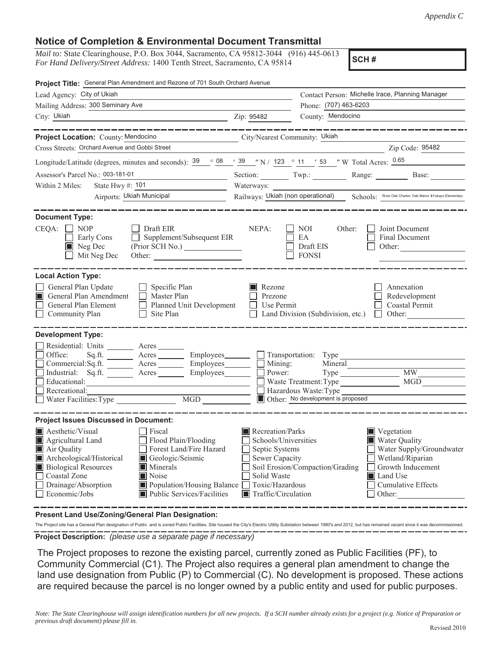## **Notice of Completion & Environmental Document Transmittal**

*Mail to:* State Clearinghouse, P.O. Box 3044, Sacramento, CA 95812-3044 (916) 445-0613 *For Hand Delivery/Street Address:* 1400 Tenth Street, Sacramento, CA 95814

**SCH #**

| Project Title: General Plan Amendment and Rezone of 701 South Orchard Avenue                                                                                                                     |                                                                                                                                                                                                                                                                                             |  |
|--------------------------------------------------------------------------------------------------------------------------------------------------------------------------------------------------|---------------------------------------------------------------------------------------------------------------------------------------------------------------------------------------------------------------------------------------------------------------------------------------------|--|
| Lead Agency: City of Ukiah                                                                                                                                                                       | Contact Person: Michelle Irace, Planning Manager                                                                                                                                                                                                                                            |  |
| Mailing Address: 300 Seminary Ave                                                                                                                                                                | Phone: (707) 463-6203                                                                                                                                                                                                                                                                       |  |
| City: Ukiah                                                                                                                                                                                      | Zip: 95482<br>County: Mendocino                                                                                                                                                                                                                                                             |  |
|                                                                                                                                                                                                  |                                                                                                                                                                                                                                                                                             |  |
| Project Location: County: Mendocino                                                                                                                                                              | City/Nearest Community: Ukiah                                                                                                                                                                                                                                                               |  |
| Cross Streets: Orchard Avenue and Gobbi Street                                                                                                                                                   | Zip Code: 95482                                                                                                                                                                                                                                                                             |  |
|                                                                                                                                                                                                  | Longitude/Latitude (degrees, minutes and seconds): $\frac{39}{9}$ $\frac{08}{1}$ $\frac{39}{1}$ $\frac{123}{1}$ $\frac{01}{1}$ $\frac{123}{1}$ $\frac{01}{1}$ $\frac{123}{1}$ $\frac{123}{1}$ $\frac{123}{1}$ $\frac{123}{1}$ $\frac{123}{1}$ $\frac{123}{1}$ $\frac{123}{1}$ $\frac{123}{$ |  |
| Assessor's Parcel No.: 003-181-01                                                                                                                                                                | Section: $Twp:$<br>Range: Base:                                                                                                                                                                                                                                                             |  |
| State Hwy #: 101<br>Within 2 Miles:                                                                                                                                                              | Waterways:                                                                                                                                                                                                                                                                                  |  |
| Airports: Ukiah Municipal                                                                                                                                                                        | Railways: Ukiah (non operational) Schools: River Oak Charter; Oak Manor & Yokayo Elementary                                                                                                                                                                                                 |  |
| <b>Document Type:</b><br>CEQA:<br>$\Box$ Draft EIR<br>NOP<br>Supplement/Subsequent EIR<br>Early Cons<br>$\blacksquare$ Neg Dec<br>(Prior SCH No.)<br>Mit Neg Dec                                 | NEPA:<br>Joint Document<br>NOI.<br>Other:<br>EA<br>Final Document<br>Draft EIS<br>Other: $\qquad \qquad$<br><b>FONSI</b>                                                                                                                                                                    |  |
| <b>Local Action Type:</b>                                                                                                                                                                        |                                                                                                                                                                                                                                                                                             |  |
| General Plan Update<br>$\Box$ Specific Plan<br>General Plan Amendment<br>$\Box$ Master Plan<br>IПL<br>General Plan Element<br>Planned Unit Development<br>Community Plan<br>Site Plan<br>$\perp$ | Rezone<br>Annexation<br>Prezone<br>Redevelopment<br>Use Permit<br>Coastal Permit<br>Land Division (Subdivision, etc.)<br>Other:<br>$\mathbf{1}$                                                                                                                                             |  |
| <b>Development Type:</b>                                                                                                                                                                         |                                                                                                                                                                                                                                                                                             |  |
| Residential: Units ________ Acres _______                                                                                                                                                        |                                                                                                                                                                                                                                                                                             |  |
| Office:<br>Sq.ft. ________ Acres __________ Employees_________ ___ Transportation: Type _______                                                                                                  |                                                                                                                                                                                                                                                                                             |  |
| Commercial:Sq.ft. _______ Acres ________ Employees _______ □ Mining:<br>Industrial: Sq.ft. _______ Acres ________ Employees _______ Dower:                                                       | Mineral<br><b>MW</b><br>$Type \_\_$                                                                                                                                                                                                                                                         |  |
| Educational:                                                                                                                                                                                     | <b>MGD</b><br>Waste Treatment: Type                                                                                                                                                                                                                                                         |  |
| Recreational:                                                                                                                                                                                    | Hazardous Waste: Type                                                                                                                                                                                                                                                                       |  |
| MGD ________<br>Water Facilities: Type                                                                                                                                                           | Other: No development is proposed                                                                                                                                                                                                                                                           |  |
| <b>Project Issues Discussed in Document:</b>                                                                                                                                                     |                                                                                                                                                                                                                                                                                             |  |
| Aesthetic/Visual<br>□ Fiscal                                                                                                                                                                     | Recreation/Parks<br>Vegetation                                                                                                                                                                                                                                                              |  |
| Flood Plain/Flooding<br>Agricultural Land                                                                                                                                                        | Water Quality<br>Schools/Universities                                                                                                                                                                                                                                                       |  |
| Air Quality<br>Forest Land/Fire Hazard                                                                                                                                                           | Water Supply/Groundwater<br>Septic Systems                                                                                                                                                                                                                                                  |  |
| Archeological/Historical<br>Geologic/Seismic                                                                                                                                                     | Sewer Capacity<br>Wetland/Riparian                                                                                                                                                                                                                                                          |  |
| <b>Biological Resources</b><br>Minerals                                                                                                                                                          | Soil Erosion/Compaction/Grading<br>Growth Inducement                                                                                                                                                                                                                                        |  |
| Coastal Zone<br>Noise<br>Drainage/Absorption<br>Population/Housing Balance                                                                                                                       | Solid Waste<br>Land Use<br>Toxic/Hazardous<br><b>Cumulative Effects</b>                                                                                                                                                                                                                     |  |
| Economic/Jobs<br>Public Services/Facilities                                                                                                                                                      | Traffic/Circulation<br>Other:                                                                                                                                                                                                                                                               |  |
|                                                                                                                                                                                                  |                                                                                                                                                                                                                                                                                             |  |

**Present Land Use/Zoning/General Plan Designation:**

**Project Description:** *(please use a separate page if necessary)* The Project site has a General Plan designation of Public and is zoned Public Facilities. Site housed the City's Electric Utility Substation between 1980's and 2012, but has remained vacant since it was decommissioned.

 The Project proposes to rezone the existing parcel, currently zoned as Public Facilities (PF), to Community Commercial (C1). The Project also requires a general plan amendment to change the land use designation from Public (P) to Commercial (C). No development is proposed. These actions are required because the parcel is no longer owned by a public entity and used for public purposes.